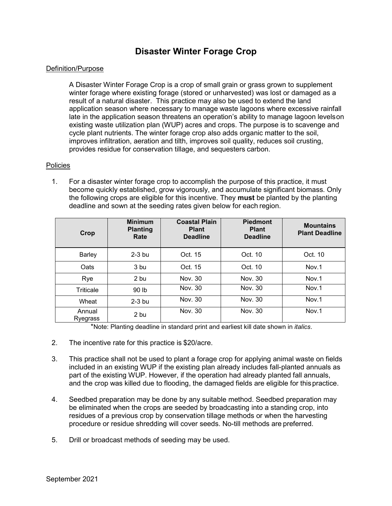## **Disaster Winter Forage Crop**

## Definition/Purpose

A Disaster Winter Forage Crop is a crop of small grain or grass grown to supplement winter forage where existing forage (stored or unharvested) was lost or damaged as a result of a natural disaster. This practice may also be used to extend the land application season where necessary to manage waste lagoons where excessive rainfall late in the application season threatens an operation's ability to manage lagoon levelson existing waste utilization plan (WUP) acres and crops. The purpose is to scavenge and cycle plant nutrients. The winter forage crop also adds organic matter to the soil, improves infiltration, aeration and tilth, improves soil quality, reduces soil crusting, provides residue for conservation tillage, and sequesters carbon.

## Policies

1. For a disaster winter forage crop to accomplish the purpose of this practice, it must become quickly established, grow vigorously, and accumulate significant biomass. Only the following crops are eligible for this incentive. They **must** be planted by the planting deadline and sown at the seeding rates given below for each region.

| Crop               | <b>Minimum</b><br><b>Planting</b><br>Rate | <b>Coastal Plain</b><br><b>Plant</b><br><b>Deadline</b> | <b>Piedmont</b><br><b>Plant</b><br><b>Deadline</b> | <b>Mountains</b><br><b>Plant Deadline</b> |
|--------------------|-------------------------------------------|---------------------------------------------------------|----------------------------------------------------|-------------------------------------------|
| Barley             | $2-3$ bu                                  | Oct. 15                                                 | Oct. 10                                            | Oct. 10                                   |
| Oats               | 3 bu                                      | Oct. 15                                                 | Oct. 10                                            | Nov.1                                     |
| Rye                | 2 bu                                      | Nov. 30                                                 | Nov. 30                                            | Nov.1                                     |
| Triticale          | 90 <sub>1b</sub>                          | Nov. 30                                                 | Nov. 30                                            | Nov.1                                     |
| Wheat              | $2-3$ bu                                  | Nov. 30                                                 | Nov. 30                                            | Nov.1                                     |
| Annual<br>Ryegrass | 2 bu                                      | Nov. 30                                                 | Nov. 30                                            | Nov.1                                     |

\*Note: Planting deadline in standard print and earliest kill date shown in *italics*.

- 2. The incentive rate for this practice is \$20/acre.
- 3. This practice shall not be used to plant a forage crop for applying animal waste on fields included in an existing WUP if the existing plan already includes fall-planted annuals as part of the existing WUP. However, if the operation had already planted fall annuals, and the crop was killed due to flooding, the damaged fields are eligible for thispractice.
- 4. Seedbed preparation may be done by any suitable method. Seedbed preparation may be eliminated when the crops are seeded by broadcasting into a standing crop, into residues of a previous crop by conservation tillage methods or when the harvesting procedure or residue shredding will cover seeds. No-till methods are preferred.
- 5. Drill or broadcast methods of seeding may be used.